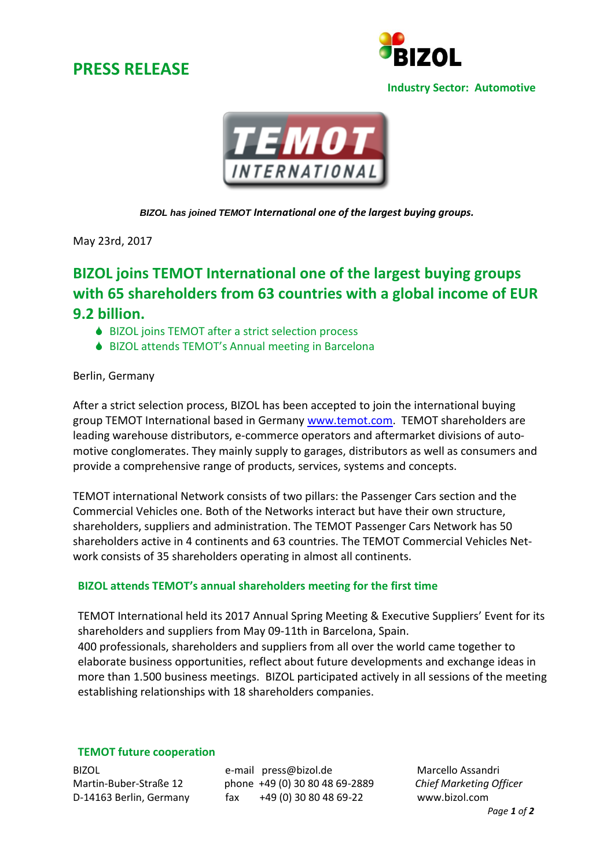## **PRESS RELEASE**



#### **Industry Sector: Automotive**



*BIZOL has joined TEMOT International one of the largest buying groups.*

May 23rd, 2017

# **BIZOL joins TEMOT International one of the largest buying groups with 65 shareholders from 63 countries with a global income of EUR 9.2 billion.**

- ♦ BIZOL joins TEMOT after a strict selection process
- ♦ BIZOL attends TEMOT's Annual meeting in Barcelona

### Berlin, Germany

After a strict selection process, BIZOL has been accepted to join the international buying group TEMOT International based in Germany [www.temot.com.](http://www.temot.com/) TEMOT shareholders are leading warehouse distributors, e-commerce operators and aftermarket divisions of automotive conglomerates. They mainly supply to garages, distributors as well as consumers and provide a comprehensive range of products, services, systems and concepts.

TEMOT international Network consists of two pillars: the Passenger Cars section and the Commercial Vehicles one. Both of the Networks interact but have their own structure, shareholders, suppliers and administration. The TEMOT Passenger Cars Network has 50 shareholders active in 4 continents and 63 countries. The TEMOT Commercial Vehicles Network consists of 35 shareholders operating in almost all continents.

## **BIZOL attends TEMOT's annual shareholders meeting for the first time**

TEMOT International held its 2017 Annual Spring Meeting & Executive Suppliers' Event for its shareholders and suppliers from May 09-11th in Barcelona, Spain. 400 professionals, shareholders and suppliers from all over the world came together to elaborate business opportunities, reflect about future developments and exchange ideas in more than 1.500 business meetings. BIZOL participated actively in all sessions of the meeting establishing relationships with 18 shareholders companies.

### **TEMOT future cooperation**

BIZOL e-mail press@bizol.de Marcello Assandri Martin-Buber-Straße 12 phone +49 (0) 30 80 48 69-2889 *Chief Marketing Officer* D-14163 Berlin, Germany fax +49 (0) 30 80 48 69-22 www.bizol.com

*Page 1 of 2*